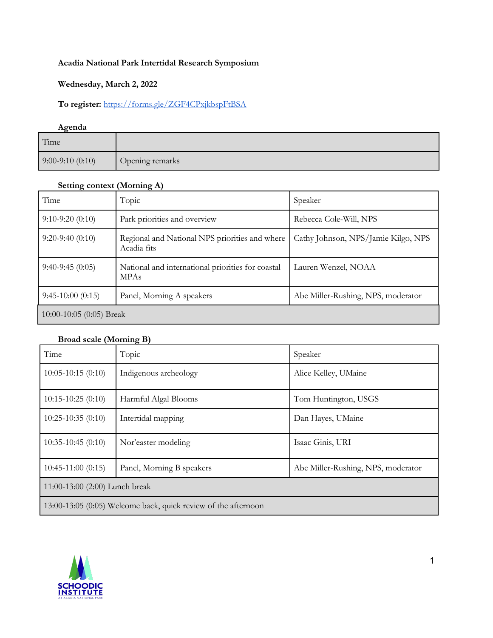## **Acadia National Park Intertidal Research Symposium**

#### **Wednesday, March 2, 2022**

## **To register:** https://forms.gle/ZGF4CPxjkbspFtBSA

# **Agenda** Time 9:00-9:10 (0:10) Opening remarks

#### **Setting context (Morning A)**

| Time                     | Topic                                                            | Speaker                             |  |
|--------------------------|------------------------------------------------------------------|-------------------------------------|--|
| $9:10-9:20(0:10)$        | Park priorities and overview                                     | Rebecca Cole-Will, NPS              |  |
| $9:20-9:40(0:10)$        | Regional and National NPS priorities and where<br>Acadia fits    | Cathy Johnson, NPS/Jamie Kilgo, NPS |  |
| $9:40-9:45(0:05)$        | National and international priorities for coastal<br><b>MPAs</b> | Lauren Wenzel, NOAA                 |  |
| $9:45-10:00(0:15)$       | Panel, Morning A speakers                                        | Abe Miller-Rushing, NPS, moderator  |  |
| 10:00-10:05 (0:05) Break |                                                                  |                                     |  |

## **Broad scale (Morning B)**

| Time                                                           | Topic                     | Speaker                            |  |
|----------------------------------------------------------------|---------------------------|------------------------------------|--|
| $10:05 - 10:15(0:10)$                                          | Indigenous archeology     | Alice Kelley, UMaine               |  |
| $10:15-10:25(0:10)$                                            | Harmful Algal Blooms      | Tom Huntington, USGS               |  |
| $10:25-10:35(0:10)$                                            | Intertidal mapping        | Dan Hayes, UMaine                  |  |
| $10:35-10:45(0:10)$                                            | Nor'easter modeling       | Isaac Ginis, URI                   |  |
| $10:45-11:00(0:15)$                                            | Panel, Morning B speakers | Abe Miller-Rushing, NPS, moderator |  |
| 11:00-13:00 (2:00) Lunch break                                 |                           |                                    |  |
| 13:00-13:05 (0:05) Welcome back, quick review of the afternoon |                           |                                    |  |